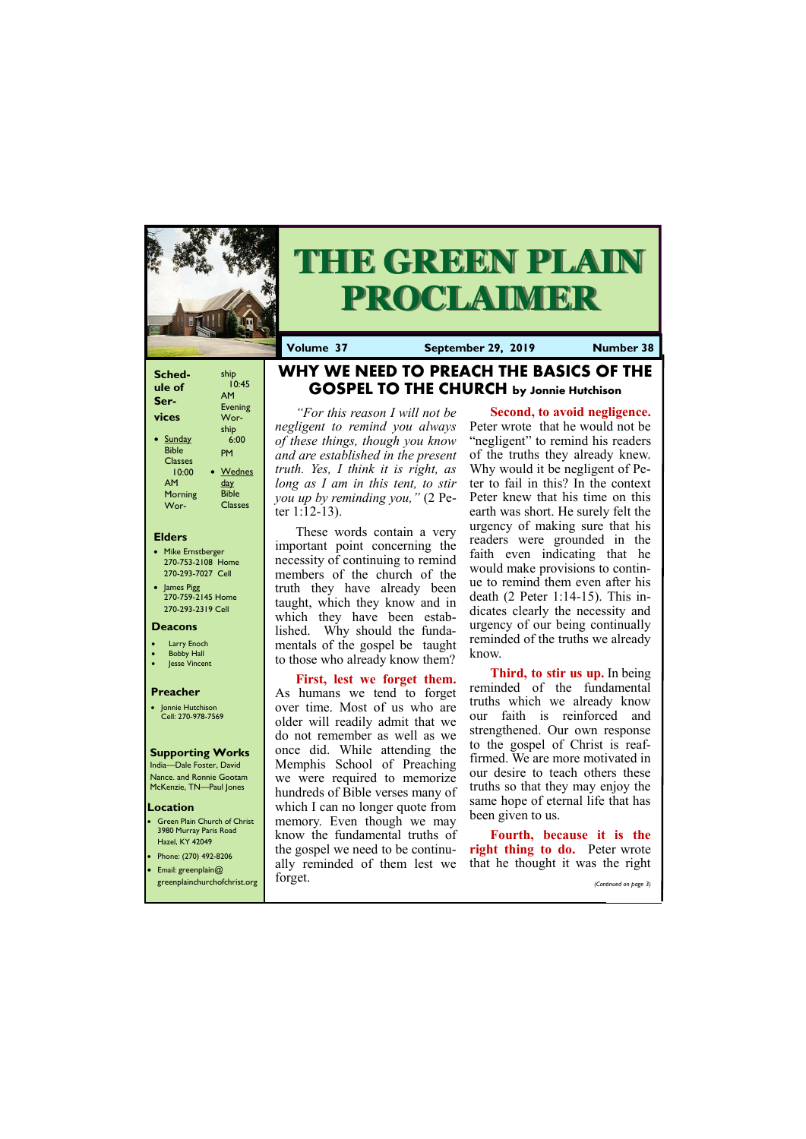#### **Elders**

Green Plain Church of Christ 3980 Murray Paris Road Hazel, KY 42049 • Phone: (270) 492-8206

- Mike Ernstberger 270-753-2108 Home 270-293-7027 Cell
- James Pigg 270-759-2145 Home 270-293-2319 Cell



# **THE GREEN PLAIN PROCLAIMER**

#### **Location**

**Volume 37 September 29, 2019 Number 38**

#### **Deacons**

- **Larry Enoch**
- **Bobby Hall**
- **Jesse Vincent**

#### **Preacher**

• Jonnie Hutchison Cell: 270-978-7569

#### **Supporting Works**

India—Dale Foster, David Nance. and Ronnie Gootam McKenzie, TN—Paul Jones

# **WHY WE NEED TO PREACH THE BASICS OF THE GOSPEL TO THE CHURCH by Jonnie Hutchison**

*"For this reason I will not be negligent to remind you always of these things, though you know and are established in the present truth. Yes, I think it is right, as long as I am in this tent, to stir you up by reminding you,"* (2 Peter 1:12-13).

These words contain a very important point concerning the necessity of continuing to remind members of the church of the truth they have already been taught, which they know and in which they have been established. Why should the fundamentals of the gospel be taught to those who already know them?

> **Fourth, because it is the right thing to do.** Peter wrote

#### **First, lest we forget them.**  As humans we tend to forget over time. Most of us who are older will readily admit that we do not remember as well as we once did. While attending the Memphis School of Preaching we were required to memorize hundreds of Bible verses many of which I can no longer quote from memory. Even though we may know the fundamental truths of the gospel we need to be continu-

| $\blacksquare$ $\blacksquare$ $\blacksquare$ $\blacksquare$ $\blacksquare$ $\blacksquare$ $\blacksquare$ $\blacksquare$ $\blacksquare$ $\blacksquare$ $\blacksquare$ $\blacksquare$ $\blacksquare$ $\blacksquare$ $\blacksquare$ $\blacksquare$ $\blacksquare$ $\blacksquare$ $\blacksquare$ $\blacksquare$ $\blacksquare$ $\blacksquare$ $\blacksquare$ $\blacksquare$ $\blacksquare$ $\blacksquare$ $\blacksquare$ $\blacksquare$ $\blacksquare$ $\blacksquare$ $\blacksquare$ $\blacks$<br>$\bullet$ Email: greenplain $@$ |         |  | ally reminded of them lest we that he thought it was the right |
|-------------------------------------------------------------------------------------------------------------------------------------------------------------------------------------------------------------------------------------------------------------------------------------------------------------------------------------------------------------------------------------------------------------------------------------------------------------------------------------------------------------------------------|---------|--|----------------------------------------------------------------|
| greenplainchurchofchrist.org                                                                                                                                                                                                                                                                                                                                                                                                                                                                                                  | forget. |  | (Continued on page 3)                                          |

**Second, to avoid negligence.**  Peter wrote that he would not be "negligent" to remind his readers of the truths they already knew. Why would it be negligent of Peter to fail in this? In the context Peter knew that his time on this earth was short. He surely felt the urgency of making sure that his readers were grounded in the faith even indicating that he would make provisions to continue to remind them even after his death (2 Peter 1:14-15). This indicates clearly the necessity and urgency of our being continually reminded of the truths we already know.

**Third, to stir us up.** In being reminded of the fundamental truths which we already know our faith is reinforced and strengthened. Our own response to the gospel of Christ is reaffirmed. We are more motivated in our desire to teach others these truths so that they may enjoy the same hope of eternal life that has been given to us.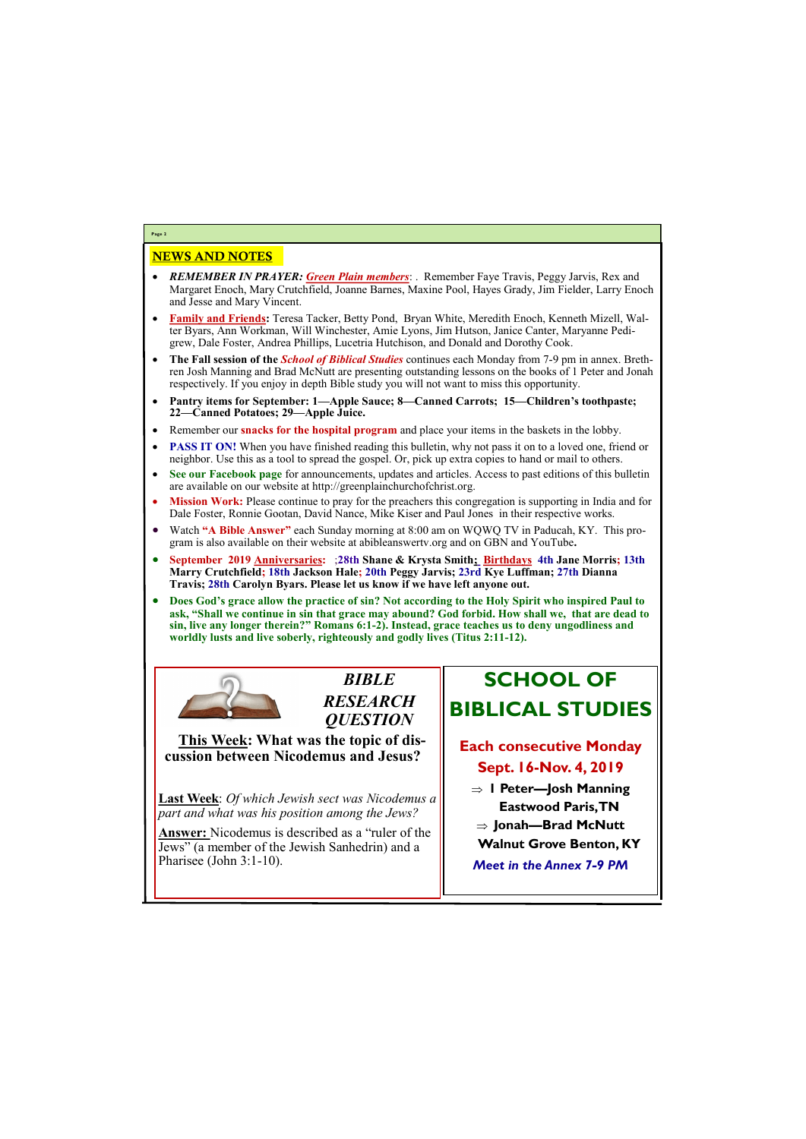### NEWS AND NOTES

- *REMEMBER IN PRAYER: Green Plain members*: . Remember Faye Travis, Peggy Jarvis, Rex and Margaret Enoch, Mary Crutchfield, Joanne Barnes, Maxine Pool, Hayes Grady, Jim Fielder, Larry Enoch and Jesse and Mary Vincent.
- **Family and Friends:** Teresa Tacker, Betty Pond, Bryan White, Meredith Enoch, Kenneth Mizell, Walter Byars, Ann Workman, Will Winchester, Amie Lyons, Jim Hutson, Janice Canter, Maryanne Pedigrew, Dale Foster, Andrea Phillips, Lucetria Hutchison, and Donald and Dorothy Cook.
- **The Fall session of the** *School of Biblical Studies* continues each Monday from 7-9 pm in annex. Brethren Josh Manning and Brad McNutt are presenting outstanding lessons on the books of 1 Peter and Jonah respectively. If you enjoy in depth Bible study you will not want to miss this opportunity.
- **Pantry items for September: 1—Apple Sauce; 8—Canned Carrots; 15—Children's toothpaste; 22—Canned Potatoes; 29—Apple Juice.**
- Remember our **snacks for the hospital program** and place your items in the baskets in the lobby.
- **PASS IT ON!** When you have finished reading this bulletin, why not pass it on to a loved one, friend or neighbor. Use this as a tool to spread the gospel. Or, pick up extra copies to hand or mail to others.
- **See our Facebook page** for announcements, updates and articles. Access to past editions of this bulletin are available on our website at http://greenplainchurchofchrist.org.
- **Mission Work:** Please continue to pray for the preachers this congregation is supporting in India and for Dale Foster, Ronnie Gootan, David Nance, Mike Kiser and Paul Jones in their respective works.
- Watch **"A Bible Answer"** each Sunday morning at 8:00 am on WQWQ TV in Paducah, KY. This program is also available on their website at abibleanswertv.org and on GBN and YouTube**.**
- **September 2019 Anniversaries:** ;**28th Shane & Krysta Smith; Birthdays 4th Jane Morris; 13th Marry Crutchfield; 18th Jackson Hale; 20th Peggy Jarvis; 23rd Kye Luffman; 27th Dianna Travis; 28th Carolyn Byars. Please let us know if we have left anyone out.**
- **Does God's grace allow the practice of sin? Not according to the Holy Spirit who inspired Paul to ask, "Shall we continue in sin that grace may abound? God forbid. How shall we, that are dead to sin, live any longer therein?" Romans 6:1-2). Instead, grace teaches us to deny ungodliness and worldly lusts and live soberly, righteously and godly lives (Titus 2:11-12).**



**Page 2**

*BIBLE RESEARCH QUESTION*

**This Week: What was the topic of discussion between Nicodemus and Jesus?** 

**Last Week**: *Of which Jewish sect was Nicodemus a part and what was his position among the Jews?*

**Answer:** Nicodemus is described as a "ruler of the Jews" (a member of the Jewish Sanhedrin) and a

| Pharisee (John $3:1-10$ ). | <b>Meet in the Annex 7-9</b> |
|----------------------------|------------------------------|
|                            |                              |

# **SCHOOL OF BIBLICAL STUDIES**

## **Each consecutive Monday Sept. 16-Nov. 4, 2019**

- **1 Peter—Josh Manning Eastwood Paris, TN**
- **Jonah—Brad McNutt**
- **Walnut Grove Benton, KY**
- *Meet in the Annex 7-9 PM*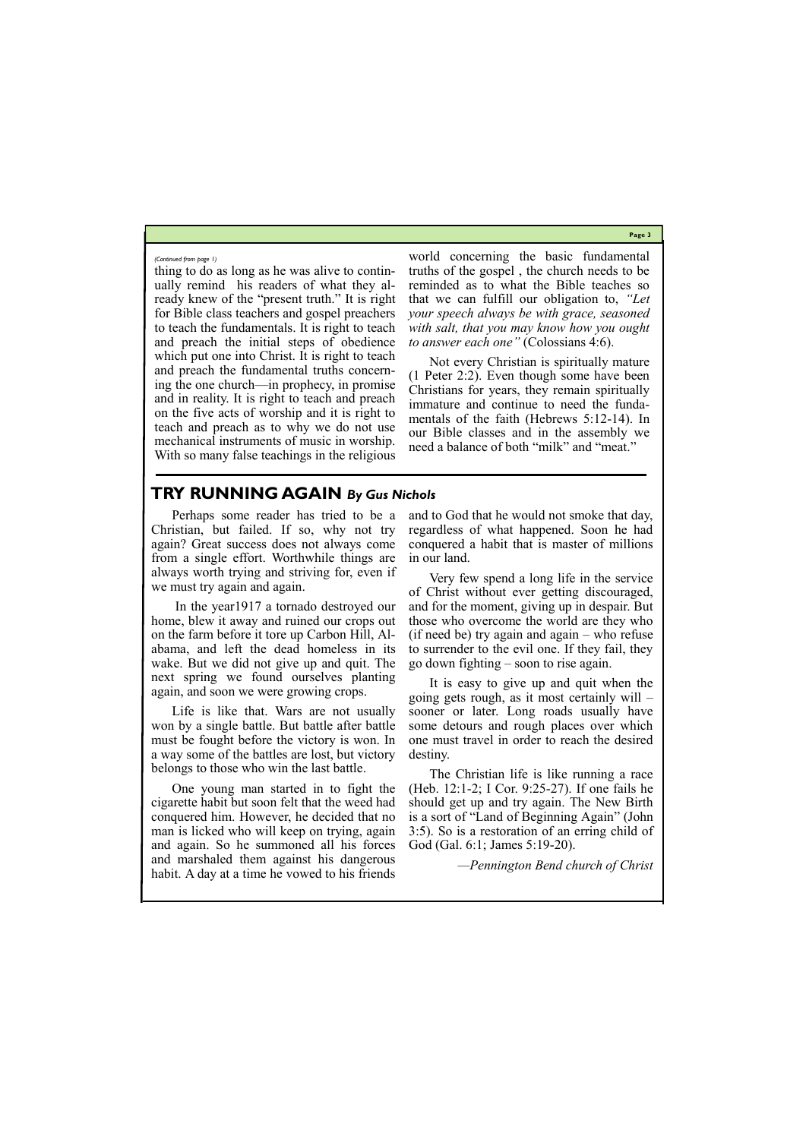**Page 3**

thing to do as long as he was alive to continually remind his readers of what they already knew of the "present truth." It is right for Bible class teachers and gospel preachers to teach the fundamentals. It is right to teach and preach the initial steps of obedience which put one into Christ. It is right to teach and preach the fundamental truths concerning the one church—in prophecy, in promise and in reality. It is right to teach and preach on the five acts of worship and it is right to teach and preach as to why we do not use mechanical instruments of music in worship. With so many false teachings in the religious

world concerning the basic fundamental truths of the gospel , the church needs to be reminded as to what the Bible teaches so that we can fulfill our obligation to, *"Let your speech always be with grace, seasoned with salt, that you may know how you ought to answer each one"* (Colossians 4:6).

Not every Christian is spiritually mature (1 Peter 2:2). Even though some have been Christians for years, they remain spiritually immature and continue to need the fundamentals of the faith (Hebrews 5:12-14). In our Bible classes and in the assembly we need a balance of both "milk" and "meat."

#### *(Continued from page 1)*

#### **TRY RUNNING AGAIN** *By Gus Nichols*

Perhaps some reader has tried to be a Christian, but failed. If so, why not try again? Great success does not always come from a single effort. Worthwhile things are always worth trying and striving for, even if we must try again and again.

In the year1917 a tornado destroyed our home, blew it away and ruined our crops out on the farm before it tore up Carbon Hill, Alabama, and left the dead homeless in its wake. But we did not give up and quit. The next spring we found ourselves planting again, and soon we were growing crops.

Life is like that. Wars are not usually won by a single battle. But battle after battle must be fought before the victory is won. In a way some of the battles are lost, but victory belongs to those who win the last battle.

One young man started in to fight the cigarette habit but soon felt that the weed had conquered him. However, he decided that no man is licked who will keep on trying, again and again. So he summoned all his forces and marshaled them against his dangerous habit. A day at a time he vowed to his friends

and to God that he would not smoke that day, regardless of what happened. Soon he had conquered a habit that is master of millions in our land.

Very few spend a long life in the service of Christ without ever getting discouraged, and for the moment, giving up in despair. But those who overcome the world are they who (if need be) try again and again – who refuse to surrender to the evil one. If they fail, they go down fighting – soon to rise again.

It is easy to give up and quit when the going gets rough, as it most certainly will – sooner or later. Long roads usually have some detours and rough places over which one must travel in order to reach the desired destiny.

The Christian life is like running a race (Heb. 12:1-2; I Cor. 9:25-27). If one fails he should get up and try again. The New Birth is a sort of "Land of Beginning Again" (John 3:5). So is a restoration of an erring child of God (Gal. 6:1; James 5:19-20).

*—Pennington Bend church of Christ*